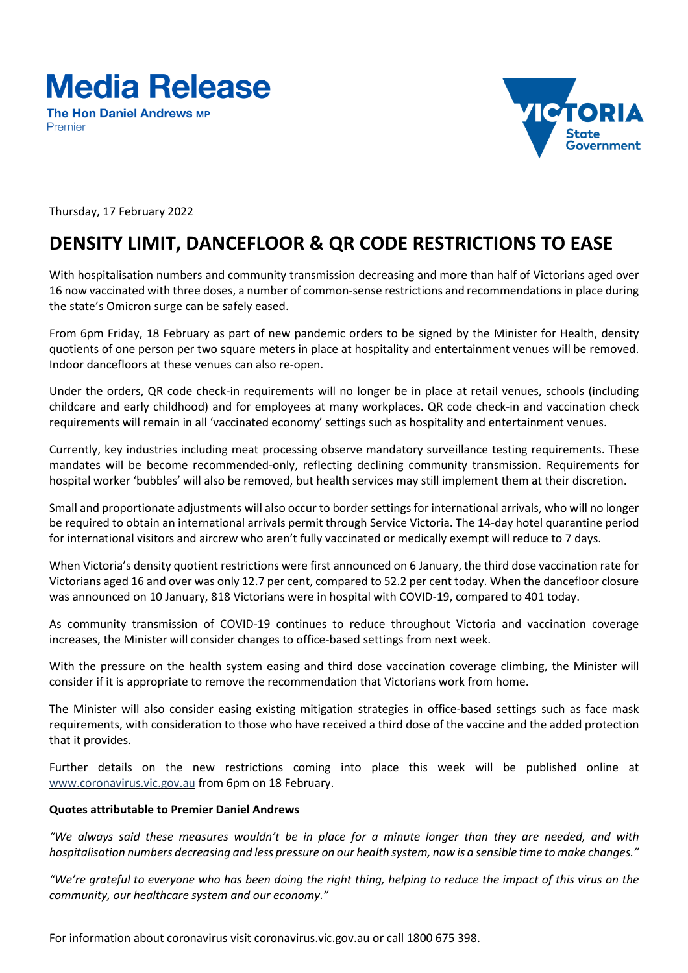## **Media Release**

**The Hon Daniel Andrews MP** Premier



Thursday, 17 February 2022

## **DENSITY LIMIT, DANCEFLOOR & QR CODE RESTRICTIONS TO EASE**

With hospitalisation numbers and community transmission decreasing and more than half of Victorians aged over 16 now vaccinated with three doses, a number of common-sense restrictions and recommendationsin place during the state's Omicron surge can be safely eased.

From 6pm Friday, 18 February as part of new pandemic orders to be signed by the Minister for Health, density quotients of one person per two square meters in place at hospitality and entertainment venues will be removed. Indoor dancefloors at these venues can also re-open.

Under the orders, QR code check-in requirements will no longer be in place at retail venues, schools (including childcare and early childhood) and for employees at many workplaces. QR code check-in and vaccination check requirements will remain in all 'vaccinated economy' settings such as hospitality and entertainment venues.

Currently, key industries including meat processing observe mandatory surveillance testing requirements. These mandates will be become recommended-only, reflecting declining community transmission. Requirements for hospital worker 'bubbles' will also be removed, but health services may still implement them at their discretion.

Small and proportionate adjustments will also occur to border settings for international arrivals, who will no longer be required to obtain an international arrivals permit through Service Victoria. The 14-day hotel quarantine period for international visitors and aircrew who aren't fully vaccinated or medically exempt will reduce to 7 days.

When Victoria's density quotient restrictions were first announced on 6 January, the third dose vaccination rate for Victorians aged 16 and over was only 12.7 per cent, compared to 52.2 per cent today. When the dancefloor closure was announced on 10 January, 818 Victorians were in hospital with COVID-19, compared to 401 today.

As community transmission of COVID-19 continues to reduce throughout Victoria and vaccination coverage increases, the Minister will consider changes to office-based settings from next week.

With the pressure on the health system easing and third dose vaccination coverage climbing, the Minister will consider if it is appropriate to remove the recommendation that Victorians work from home.

The Minister will also consider easing existing mitigation strategies in office-based settings such as face mask requirements, with consideration to those who have received a third dose of the vaccine and the added protection that it provides.

Further details on the new restrictions coming into place this week will be published online at www.coronavirus.vic.gov.au from 6pm on 18 February.

## **Quotes attributable to Premier Daniel Andrews**

"We always said these measures wouldn't be in place for a minute longer than they are needed, and with hospitalisation numbers decreasing and less pressure on our health system, now is a sensible time to make changes."

"We're grateful to everyone who has been doing the right thing, helping to reduce the impact of this virus on the *community, our healthcare system and our economy."*

For information about coronavirus visit coronavirus.vic.gov.au or call 1800 675 398.